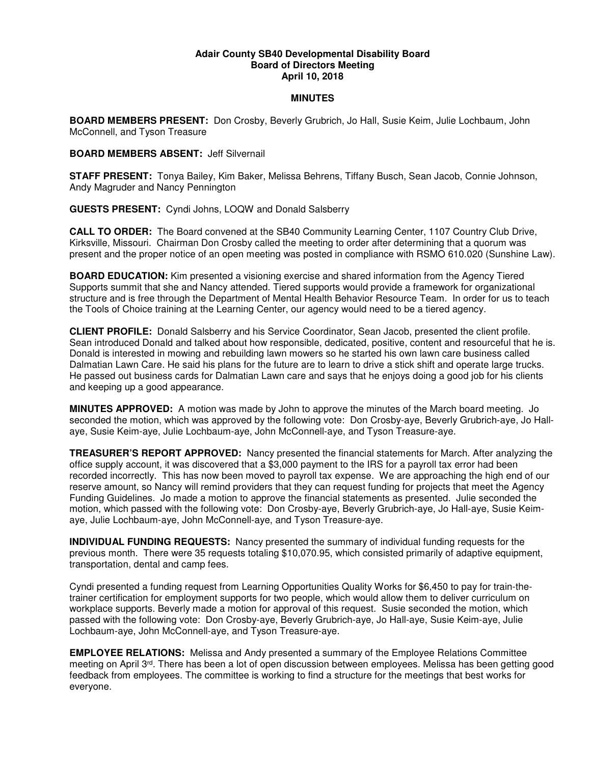## **Adair County SB40 Developmental Disability Board Board of Directors Meeting April 10, 2018**

## **MINUTES**

**BOARD MEMBERS PRESENT:** Don Crosby, Beverly Grubrich, Jo Hall, Susie Keim, Julie Lochbaum, John McConnell, and Tyson Treasure

## **BOARD MEMBERS ABSENT:** Jeff Silvernail

**STAFF PRESENT:** Tonya Bailey, Kim Baker, Melissa Behrens, Tiffany Busch, Sean Jacob, Connie Johnson, Andy Magruder and Nancy Pennington

**GUESTS PRESENT:** Cyndi Johns, LOQW and Donald Salsberry

**CALL TO ORDER:** The Board convened at the SB40 Community Learning Center, 1107 Country Club Drive, Kirksville, Missouri. Chairman Don Crosby called the meeting to order after determining that a quorum was present and the proper notice of an open meeting was posted in compliance with RSMO 610.020 (Sunshine Law).

**BOARD EDUCATION:** Kim presented a visioning exercise and shared information from the Agency Tiered Supports summit that she and Nancy attended. Tiered supports would provide a framework for organizational structure and is free through the Department of Mental Health Behavior Resource Team. In order for us to teach the Tools of Choice training at the Learning Center, our agency would need to be a tiered agency.

**CLIENT PROFILE:** Donald Salsberry and his Service Coordinator, Sean Jacob, presented the client profile. Sean introduced Donald and talked about how responsible, dedicated, positive, content and resourceful that he is. Donald is interested in mowing and rebuilding lawn mowers so he started his own lawn care business called Dalmatian Lawn Care. He said his plans for the future are to learn to drive a stick shift and operate large trucks. He passed out business cards for Dalmatian Lawn care and says that he enjoys doing a good job for his clients and keeping up a good appearance.

**MINUTES APPROVED:** A motion was made by John to approve the minutes of the March board meeting. Jo seconded the motion, which was approved by the following vote: Don Crosby-aye, Beverly Grubrich-aye, Jo Hallaye, Susie Keim-aye, Julie Lochbaum-aye, John McConnell-aye, and Tyson Treasure-aye.

**TREASURER'S REPORT APPROVED:** Nancy presented the financial statements for March. After analyzing the office supply account, it was discovered that a \$3,000 payment to the IRS for a payroll tax error had been recorded incorrectly. This has now been moved to payroll tax expense. We are approaching the high end of our reserve amount, so Nancy will remind providers that they can request funding for projects that meet the Agency Funding Guidelines. Jo made a motion to approve the financial statements as presented. Julie seconded the motion, which passed with the following vote: Don Crosby-aye, Beverly Grubrich-aye, Jo Hall-aye, Susie Keimaye, Julie Lochbaum-aye, John McConnell-aye, and Tyson Treasure-aye.

**INDIVIDUAL FUNDING REQUESTS:** Nancy presented the summary of individual funding requests for the previous month. There were 35 requests totaling \$10,070.95, which consisted primarily of adaptive equipment, transportation, dental and camp fees.

Cyndi presented a funding request from Learning Opportunities Quality Works for \$6,450 to pay for train-thetrainer certification for employment supports for two people, which would allow them to deliver curriculum on workplace supports. Beverly made a motion for approval of this request. Susie seconded the motion, which passed with the following vote: Don Crosby-aye, Beverly Grubrich-aye, Jo Hall-aye, Susie Keim-aye, Julie Lochbaum-aye, John McConnell-aye, and Tyson Treasure-aye.

**EMPLOYEE RELATIONS:** Melissa and Andy presented a summary of the Employee Relations Committee meeting on April 3rd. There has been a lot of open discussion between employees. Melissa has been getting good feedback from employees. The committee is working to find a structure for the meetings that best works for everyone.